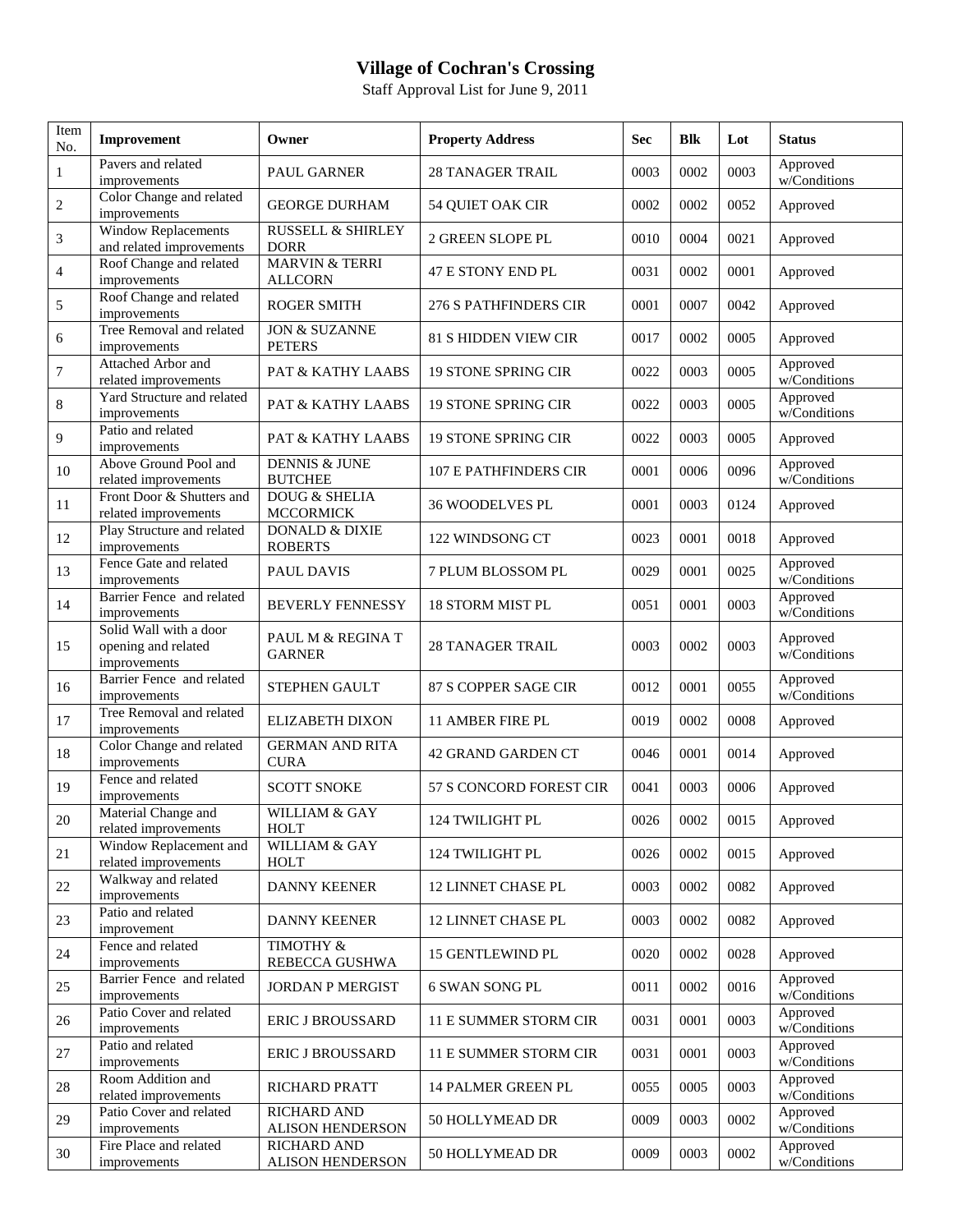## **Village of Cochran's Crossing**

Staff Approval List for June 9, 2011

| Item<br>No.    | Improvement                                                   | Owner                                        | <b>Property Address</b>    | <b>Sec</b> | <b>Blk</b> | Lot  | <b>Status</b>            |
|----------------|---------------------------------------------------------------|----------------------------------------------|----------------------------|------------|------------|------|--------------------------|
| 1              | Pavers and related<br>improvements                            | PAUL GARNER                                  | <b>28 TANAGER TRAIL</b>    | 0003       | 0002       | 0003 | Approved<br>w/Conditions |
| $\overline{c}$ | Color Change and related<br>improvements                      | <b>GEORGE DURHAM</b>                         | 54 QUIET OAK CIR           | 0002       | 0002       | 0052 | Approved                 |
| 3              | Window Replacements<br>and related improvements               | <b>RUSSELL &amp; SHIRLEY</b><br><b>DORR</b>  | 2 GREEN SLOPE PL           | 0010       | 0004       | 0021 | Approved                 |
| 4              | Roof Change and related<br>improvements                       | <b>MARVIN &amp; TERRI</b><br><b>ALLCORN</b>  | 47 E STONY END PL          | 0031       | 0002       | 0001 | Approved                 |
| 5              | Roof Change and related<br>improvements                       | <b>ROGER SMITH</b>                           | 276 S PATHFINDERS CIR      | 0001       | 0007       | 0042 | Approved                 |
| 6              | Tree Removal and related<br>improvements                      | <b>JON &amp; SUZANNE</b><br><b>PETERS</b>    | 81 S HIDDEN VIEW CIR       | 0017       | 0002       | 0005 | Approved                 |
| $\overline{7}$ | Attached Arbor and<br>related improvements                    | PAT & KATHY LAABS                            | 19 STONE SPRING CIR        | 0022       | 0003       | 0005 | Approved<br>w/Conditions |
| 8              | Yard Structure and related<br>improvements                    | PAT & KATHY LAABS                            | 19 STONE SPRING CIR        | 0022       | 0003       | 0005 | Approved<br>w/Conditions |
| 9              | Patio and related<br>improvements                             | <b>PAT &amp; KATHY LAABS</b>                 | <b>19 STONE SPRING CIR</b> | 0022       | 0003       | 0005 | Approved                 |
| 10             | Above Ground Pool and<br>related improvements                 | <b>DENNIS &amp; JUNE</b><br><b>BUTCHEE</b>   | 107 E PATHFINDERS CIR      | 0001       | 0006       | 0096 | Approved<br>w/Conditions |
| 11             | Front Door & Shutters and<br>related improvements             | <b>DOUG &amp; SHELIA</b><br><b>MCCORMICK</b> | <b>36 WOODELVES PL</b>     | 0001       | 0003       | 0124 | Approved                 |
| 12             | Play Structure and related<br>improvements                    | <b>DONALD &amp; DIXIE</b><br><b>ROBERTS</b>  | 122 WINDSONG CT            | 0023       | 0001       | 0018 | Approved                 |
| 13             | Fence Gate and related<br>improvements                        | <b>PAUL DAVIS</b>                            | 7 PLUM BLOSSOM PL          | 0029       | 0001       | 0025 | Approved<br>w/Conditions |
| 14             | Barrier Fence and related<br>improvements                     | <b>BEVERLY FENNESSY</b>                      | <b>18 STORM MIST PL</b>    | 0051       | 0001       | 0003 | Approved<br>w/Conditions |
| 15             | Solid Wall with a door<br>opening and related<br>improvements | PAUL M & REGINA T<br><b>GARNER</b>           | <b>28 TANAGER TRAIL</b>    | 0003       | 0002       | 0003 | Approved<br>w/Conditions |
| 16             | Barrier Fence and related<br>improvements                     | STEPHEN GAULT                                | 87 S COPPER SAGE CIR       | 0012       | 0001       | 0055 | Approved<br>w/Conditions |
| 17             | Tree Removal and related<br>improvements                      | <b>ELIZABETH DIXON</b>                       | 11 AMBER FIRE PL           | 0019       | 0002       | 0008 | Approved                 |
| 18             | Color Change and related<br>improvements                      | <b>GERMAN AND RITA</b><br><b>CURA</b>        | 42 GRAND GARDEN CT         | 0046       | 0001       | 0014 | Approved                 |
| 19             | Fence and related<br>improvements                             | <b>SCOTT SNOKE</b>                           | 57 S CONCORD FOREST CIR    | 0041       | 0003       | 0006 | Approved                 |
| $20\,$         | Material Change and<br>related improvements                   | WILLIAM & GAY<br><b>HOLT</b>                 | 124 TWILIGHT PL            | 0026       | 0002       | 0015 | Approved                 |
| 21             | Window Replacement and<br>related improvements                | WILLIAM & GAY<br>HOLT                        | 124 TWILIGHT PL            | 0026       | 0002       | 0015 | Approved                 |
| $22\,$         | Walkway and related<br>improvements                           | <b>DANNY KEENER</b>                          | 12 LINNET CHASE PL         | 0003       | 0002       | 0082 | Approved                 |
| 23             | Patio and related<br>improvement                              | <b>DANNY KEENER</b>                          | 12 LINNET CHASE PL         | 0003       | 0002       | 0082 | Approved                 |
| 24             | Fence and related<br>improvements                             | TIMOTHY &<br>REBECCA GUSHWA                  | <b>15 GENTLEWIND PL</b>    | 0020       | 0002       | 0028 | Approved                 |
| 25             | Barrier Fence and related<br>improvements                     | JORDAN P MERGIST                             | 6 SWAN SONG PL             | 0011       | 0002       | 0016 | Approved<br>w/Conditions |
| 26             | Patio Cover and related<br>improvements                       | ERIC J BROUSSARD                             | 11 E SUMMER STORM CIR      | 0031       | 0001       | 0003 | Approved<br>w/Conditions |
| 27             | Patio and related<br>improvements                             | ERIC J BROUSSARD                             | 11 E SUMMER STORM CIR      | 0031       | 0001       | 0003 | Approved<br>w/Conditions |
| $28\,$         | Room Addition and<br>related improvements                     | RICHARD PRATT                                | <b>14 PALMER GREEN PL</b>  | 0055       | 0005       | 0003 | Approved<br>w/Conditions |
| 29             | Patio Cover and related<br>improvements                       | <b>RICHARD AND</b><br>ALISON HENDERSON       | 50 HOLLYMEAD DR            | 0009       | 0003       | 0002 | Approved<br>w/Conditions |
| 30             | Fire Place and related<br>improvements                        | RICHARD AND<br>ALISON HENDERSON              | 50 HOLLYMEAD DR            | 0009       | 0003       | 0002 | Approved<br>w/Conditions |